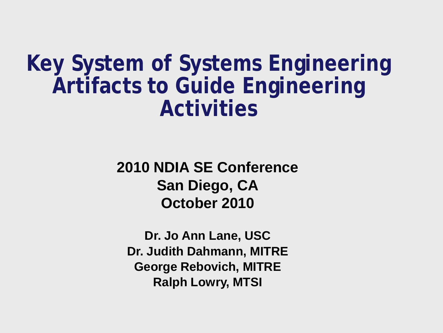**Key System of Systems Engineering Artifacts to Guide Engineering Activities**

> **2010 NDIA SE Conference San Diego, CA October 2010**

**Dr. Jo Ann Lane, USC Dr. Judith Dahmann, MITRE George Rebovich, MITRE Ralph Lowry, MTSI**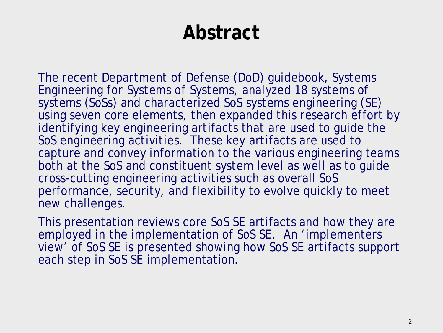## **Abstract**

The recent Department of Defense (DoD) guidebook, *Systems Engineering for Systems of Systems,* analyzed 18 systems of systems (SoSs) and characterized SoS systems engineering (SE) using seven core elements, then expanded this research effort by identifying key engineering artifacts that are used to guide the SoS engineering activities. These key artifacts are used to capture and convey information to the various engineering teams both at the SoS and constituent system level as well as to guide cross-cutting engineering activities such as overall SoS performance, security, and flexibility to evolve quickly to meet new challenges.

This presentation reviews core SoS SE artifacts and how they are employed in the implementation of SoS SE. An 'implementers view' of SoS SE is presented showing how SoS SE artifacts support each step in SoS SE implementation.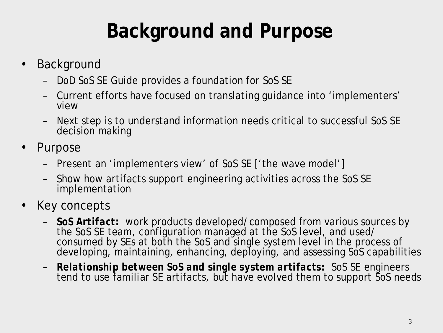# **Background and Purpose**

- **Background** 
	- DoD SoS SE Guide provides a foundation for SoS SE
	- Current efforts have focused on translating guidance into 'implementers' view
	- Next step is to understand information needs critical to successful SoS SE decision making
- Purpose
	- Present an 'implementers view' of SoS SE ['the wave model']
	- Show how artifacts support engineering activities across the SoS SE implementation
- Key concepts
	- *SoS Artifact:* work products developed/composed from various sources by the SoS SE team, configuration managed at the SoS level, and used/ consumed by SEs at both the SoS and single system level in the process of developing, maintaining, enhancing, deploying, and assessing SoS capabilities
	- *Relationship between SoS and single system artifacts:* SoS SE engineers tend to use familiar SE artifacts, but have evolved them to support SoS needs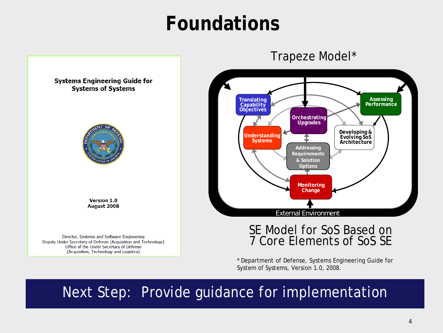## **Foundations**





#### SE Model for SoS Based on 7 Core Elements of SoS SE

\* Department of Defense, Systems Engineering Guide for System of Systems*,* Version 1.0, 2008.

#### Next Step: Provide guidance for implementation

**Systems Engineering Guide for Systems of Systems** 



**Version 1.0** August 2008

Director, Systems and Software Engineering Deputy Under Secretary of Defense (Acquisition and Technology) Office of the Under Secretary of Defense (Acquisition, Technology and Logistics)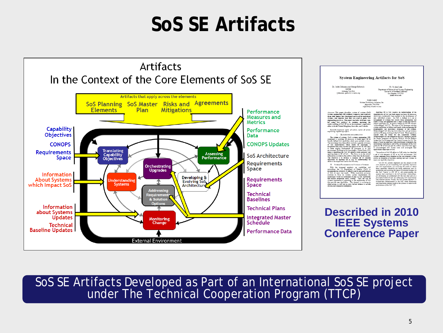## **SoS SE Artifacts**



SoS SE Artifacts Developed as Part of an International SoS SE project under The Technical Cooperation Program (TTCP)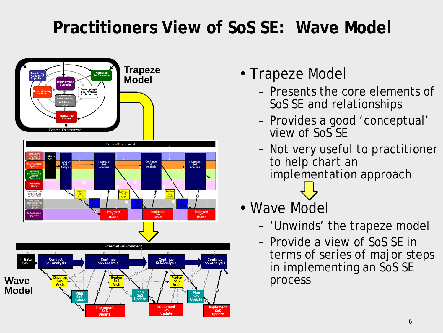### **Practitioners View of SoS SE: Wave Model**



- Trapeze Model
	- Presents the core elements of SoS SE and relationships
	- Provides a good 'conceptual' view of SoS SE
	- Not very useful to practitioner to help chart an implementation approach
- Wave Model
	- 'Unwinds' the trapeze model
	- Provide a view of SoS SE in terms of series of major steps in implementing an SoS SE process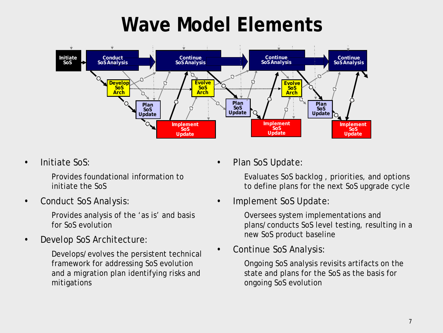## **Wave Model Elements**



• Initiate SoS:

Provides foundational information to initiate the SoS

• Conduct SoS Analysis:

Provides analysis of the 'as is' and basis for SoS evolution

• Develop SoS Architecture:

Develops/evolves the persistent technical framework for addressing SoS evolution and a migration plan identifying risks and mitigations

Plan SoS Update:

Evaluates SoS backlog , priorities, and options to define plans for the next SoS upgrade cycle

• Implement SoS Update:

Oversees system implementations and plans/conducts SoS level testing, resulting in a new SoS product baseline

• Continue SoS Analysis:

Ongoing SoS analysis revisits artifacts on the state and plans for the SoS as the basis for ongoing SoS evolution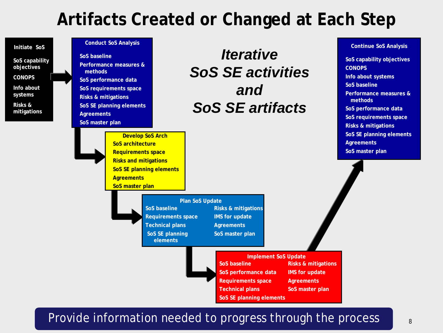### **Artifacts Created or Changed at Each Step**

| Initiate SoS<br>SoS capability<br>objectives<br><b>CONOPS</b><br>Info about<br>systems<br>Risks &<br>mitigations | <b>Conduct SoS Analysis</b><br>SoS baseline<br>Performance measures &<br>methods<br>SoS performance data<br>SoS requirements space<br><b>Risks &amp; mitigations</b><br>SoS SE planning elements<br><b>Agreements</b><br>SoS master plan |                                                                                                                       | <i><b>Iterative</b></i><br><b>SoS SE activities</b><br>and<br><b>SoS SE artifacts</b>                                                                  |                                                                                                 | <b>Continue SoS Analysis</b><br>SoS capability objectives<br><b>CONOPS</b><br>Info about systems<br>SoS baseline<br>Performance measures &<br>methods<br>SoS performance data<br>SoS requirements space<br><b>Risks &amp; mitigations</b> |
|------------------------------------------------------------------------------------------------------------------|------------------------------------------------------------------------------------------------------------------------------------------------------------------------------------------------------------------------------------------|-----------------------------------------------------------------------------------------------------------------------|--------------------------------------------------------------------------------------------------------------------------------------------------------|-------------------------------------------------------------------------------------------------|-------------------------------------------------------------------------------------------------------------------------------------------------------------------------------------------------------------------------------------------|
|                                                                                                                  | <b>Develop SoS Arch</b><br>SoS architecture<br><b>Requirements space</b><br><b>Risks and mitigations</b><br>SoS SE planning elements<br><b>Agreements</b><br>SoS master plan                                                             |                                                                                                                       |                                                                                                                                                        |                                                                                                 | SoS SE planning elements<br><b>Agreements</b><br>SoS master plan                                                                                                                                                                          |
|                                                                                                                  |                                                                                                                                                                                                                                          | Plan SoS Update<br>SoS baseline<br><b>Requirements space</b><br><b>Technical plans</b><br>SoS SE planning<br>elements | <b>Risks &amp; mitigations</b><br><b>IMS</b> for update<br><b>Agreements</b><br>SoS master plan                                                        |                                                                                                 |                                                                                                                                                                                                                                           |
|                                                                                                                  |                                                                                                                                                                                                                                          |                                                                                                                       | <b>Implement SoS Update</b><br>SoS baseline<br>SoS performance data<br><b>Requirements space</b><br><b>Technical plans</b><br>SoS SE planning elements | <b>Risks &amp; mitigations</b><br><b>IMS</b> for update<br><b>Agreements</b><br>SoS master plan |                                                                                                                                                                                                                                           |

#### Provide information needed to progress through the process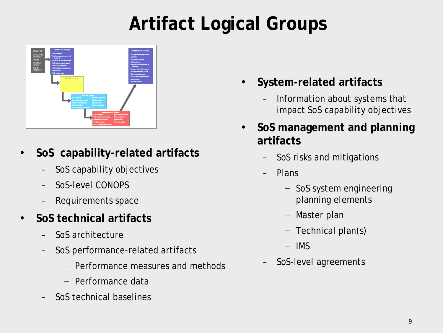## **Artifact Logical Groups**



- **SoS capability-related artifacts**
	- SoS capability objectives
	- SoS-level CONOPS
	- Requirements space
- **SoS technical artifacts**
	- SoS architecture
	- SoS performance-related artifacts
		- − Performance measures and methods
		- − Performance data
	- SoS technical baselines
- **System-related artifacts**
	- Information about systems that impact SoS capability objectives
- **SoS management and planning artifacts**
	- SoS risks and mitigations
	- Plans
		- − SoS system engineering planning elements
		- − Master plan
		- − Technical plan(s)
		- − IMS
	- SoS-level agreements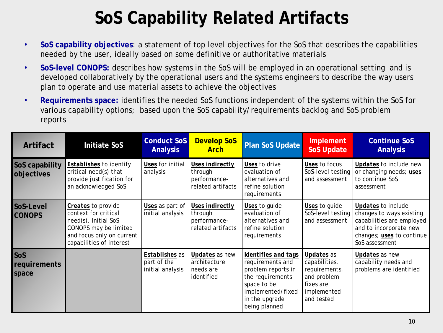## **SoS Capability Related Artifacts**

- **SoS capability objectives**: a statement of top level objectives for the SoS that describes the capabilities needed by the user, ideally based on some definitive or authoritative materials
- **SoS-level CONOPS:** describes how systems in the SoS will be employed in an operational setting and is developed collaboratively by the operational users and the systems engineers to describe the way users plan to operate and use material assets to achieve the objectives
- **Requirements space:** identifies the needed SoS functions independent of the systems within the SoS for various capability options; based upon the SoS capability/requirements backlog and SoS problem reports

| Artifact                     | <b>Initiate SoS</b>                                                                                                                                  | <b>Conduct SoS</b><br><b>Analysis</b>                    | <b>Develop SoS</b><br><b>Arch</b>                               | <b>Plan SoS Update</b>                                                                                                                                   | Implement<br><b>SoS Update</b>                                                                        | <b>Continue SoS</b><br><b>Analysis</b>                                                                                                               |
|------------------------------|------------------------------------------------------------------------------------------------------------------------------------------------------|----------------------------------------------------------|-----------------------------------------------------------------|----------------------------------------------------------------------------------------------------------------------------------------------------------|-------------------------------------------------------------------------------------------------------|------------------------------------------------------------------------------------------------------------------------------------------------------|
| SoS capability<br>objectives | Establishes to identify<br>critical need(s) that<br>provide justification for<br>an acknowledged SoS                                                 | Uses for initial<br>analysis                             | Uses indirectly<br>through<br>performance-<br>related artifacts | Uses to drive<br>evaluation of<br>alternatives and<br>refine solution<br>requirements                                                                    | Uses to focus<br>SoS-level testing<br>and assessment                                                  | Updates to include new<br>or changing needs; uses<br>to continue SoS<br>assessment                                                                   |
| SoS-Level<br><b>CONOPS</b>   | Creates to provide<br>context for critical<br>need(s). Initial SoS<br>CONOPS may be limited<br>and focus only on current<br>capabilities of interest | Uses as part of<br>initial analysis                      | Uses indirectly<br>through<br>performance-<br>related artifacts | Uses to guide<br>evaluation of<br>alternatives and<br>refine solution<br>requirements                                                                    | Uses to guide<br>SoS-level testing<br>and assessment                                                  | Updates to include<br>changes to ways existing<br>capabilities are employed<br>and to incorporate new<br>changes; uses to continue<br>SoS assessment |
| SoS<br>requirements<br>space |                                                                                                                                                      | <b>Establishes</b> as<br>part of the<br>initial analysis | Updates as new<br>architecture<br>needs are<br>identified       | Identifies and tags<br>requirements and<br>problem reports in<br>the requirements<br>space to be<br>implemented/fixed<br>in the upgrade<br>being planned | Updates as<br>capabilities,<br>requirements,<br>and problem<br>fixes are<br>implemented<br>and tested | Updates as new<br>capability needs and<br>problems are identified                                                                                    |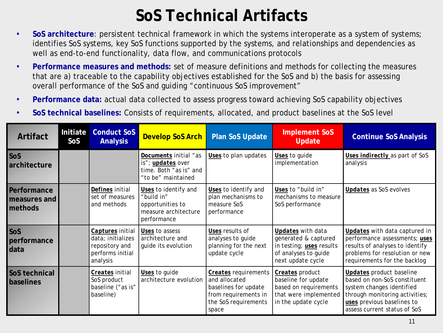#### **SoS Technical Artifacts**

- **SoS architecture**: persistent technical framework in which the systems interoperate as a system of systems; identifies SoS systems, key SoS functions supported by the systems, and relationships and dependencies as well as end-to-end functionality, data flow, and communications protocols
- **Performance measures and methods:** set of measure definitions and methods for collecting the measures that are a) traceable to the capability objectives established for the SoS and b) the basis for assessing overall performance of the SoS and guiding "continuous SoS improvement"
- **Performance data:** actual data collected to assess progress toward achieving SoS capability objectives
- **SoS technical baselines:** Consists of requirements, allocated, and product baselines at the SoS level

| Artifact                               | Initiate<br>SoS | <b>Conduct SoS</b><br><b>Analysis</b>                                                   | <b>Develop SoS Arch</b>                                                                           | <b>Plan SoS Update</b>                                                                                                        | <b>Implement SoS</b><br><b>Update</b>                                                                              | <b>Continue SoS Analysis</b>                                                                                                                                                                 |
|----------------------------------------|-----------------|-----------------------------------------------------------------------------------------|---------------------------------------------------------------------------------------------------|-------------------------------------------------------------------------------------------------------------------------------|--------------------------------------------------------------------------------------------------------------------|----------------------------------------------------------------------------------------------------------------------------------------------------------------------------------------------|
| SoS<br>architecture                    |                 |                                                                                         | Documents initial "as<br>is"; <i>updates</i> over<br>time. Both "as is" and<br>"to be" maintained | Uses to plan updates                                                                                                          | Uses to guide<br>implementation                                                                                    | Uses indirectly as part of SoS<br>analysis                                                                                                                                                   |
| Performance<br>measures and<br>methods |                 | Defines initial<br>set of measures<br>and methods                                       | Uses to identify and<br>"build in"<br>opportunities to<br>measure architecture<br>performance     | Uses to identify and<br>plan mechanisms to<br>measure SoS<br>performance                                                      | Uses to "build in"<br>mechanisms to measure<br>SoS performance                                                     | Updates as SoS evolves                                                                                                                                                                       |
| SoS<br>performance<br>data             |                 | Captures initial<br>data; initializes<br>repository and<br>performs initial<br>analysis | Uses to assess<br>architecture and<br>guide its evolution                                         | Uses results of<br>analyses to guide<br>planning for the next<br>update cycle                                                 | Updates with data<br>generated & captured<br>in testing; uses results<br>of analyses to guide<br>next update cycle | Updates with data captured in<br>performance assessments; uses<br>results of analyses to identify<br>problems for resolution or new<br>requirements for the backlog                          |
| SoS technical<br>baselines             |                 | Creates initial<br>SoS product<br>baseline ("as is"<br>baseline)                        | Uses to guide<br>architecture evolution                                                           | <b>Creates</b> requirements<br>and allocated<br>baselines for update<br>from requirements in<br>the SoS requirements<br>space | Creates product<br>baseline for update<br>based on requirements<br>that were implemented<br>in the update cycle    | <b>Updates</b> product baseline<br>based on non-SoS constituent<br>system changes identified<br>through monitoring activities;<br>uses previous baselines to<br>assess current status of SoS |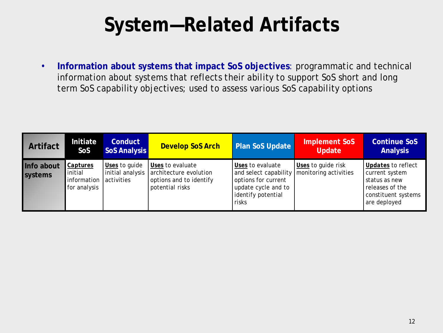## **System—Related Artifacts**

• **Information about systems that impact SoS objectives**: programmatic and technical information about systems that reflects their ability to support SoS short and long term SoS capability objectives; used to assess various SoS capability options

| <b>Artifact</b>       | Initiate<br>SoS                                    | <b>Conduct</b><br><b>SoS Analysis</b>           | <b>Develop SoS Arch</b>                                                                  | <b>Plan SoS Update</b>                                                                                                 | Implement SoS<br><b>Update</b>              | <b>Continue SoS</b><br><b>Analysis</b>                                                                          |
|-----------------------|----------------------------------------------------|-------------------------------------------------|------------------------------------------------------------------------------------------|------------------------------------------------------------------------------------------------------------------------|---------------------------------------------|-----------------------------------------------------------------------------------------------------------------|
| Info about<br>systems | Captures<br>initial<br>information<br>for analysis | Uses to guide<br>initial analysis<br>activities | Uses to evaluate<br>architecture evolution<br>options and to identify<br>potential risks | Uses to evaluate<br>and select capability<br>options for current<br>update cycle and to<br>identify potential<br>risks | Uses to guide risk<br>monitoring activities | Updates to reflect<br>current system<br>status as new<br>releases of the<br>constituent systems<br>are deployed |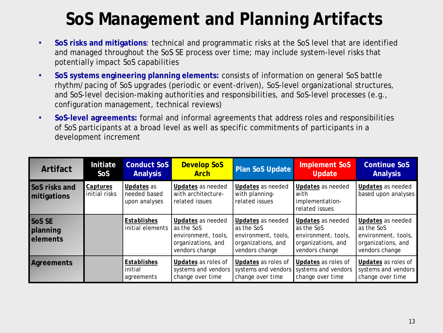## **SoS Management and Planning Artifacts**

- **SoS risks and mitigations**: technical and programmatic risks at the SoS level that are identified and managed throughout the SoS SE process over time; may include system-level risks that potentially impact SoS capabilities
- **SoS systems engineering planning elements:** consists of information on general SoS battle rhythm/pacing of SoS upgrades (periodic or event-driven), SoS-level organizational structures, and SoS-level decision-making authorities and responsibilities, and SoS-level processes (e.g., configuration management, technical reviews)
- **SoS-level agreements:** formal and informal agreements that address roles and responsibilities of SoS participants at a broad level as well as specific commitments of participants in a development increment

| Artifact                                     | Initiate<br><b>SoS</b>    | <b>Conduct SoS</b><br><b>Analysis</b>       | <b>Develop SoS</b><br><b>Arch</b>                                                              | <b>Plan SoS Update</b>                                                                         | <b>Implement SoS</b><br><b>Update</b>                                                          | <b>Continue SoS</b><br><b>Analysis</b>                                                         |
|----------------------------------------------|---------------------------|---------------------------------------------|------------------------------------------------------------------------------------------------|------------------------------------------------------------------------------------------------|------------------------------------------------------------------------------------------------|------------------------------------------------------------------------------------------------|
| <b>SoS risks and</b><br>mitigations          | Captures<br>initial risks | Updates as<br>needed based<br>upon analyses | Updates as needed<br>with architecture-<br>related issues                                      | <b>Updates</b> as needed<br>with planning-<br>related issues                                   | Updates as needed<br>with<br>implementation-<br>related issues                                 | Updates as needed<br>based upon analyses                                                       |
| <b>SoS SE</b><br>planning<br><b>elements</b> |                           | Establishes<br>initial elements             | Updates as needed<br>as the SoS<br>environment, tools,<br>organizations, and<br>vendors change | Updates as needed<br>as the SoS<br>environment, tools,<br>organizations, and<br>vendors change | Updates as needed<br>as the SoS<br>environment, tools,<br>organizations, and<br>vendors change | Updates as needed<br>as the SoS<br>environment, tools,<br>organizations, and<br>vendors change |
| <b>Agreements</b>                            |                           | Establishes<br>initial<br>agreements        | Updates as roles of<br>systems and vendors<br>change over time                                 | Updates as roles of<br>systems and vendors systems and vendors<br>change over time             | Updates as roles of<br>change over time                                                        | Updates as roles of<br>systems and vendors<br>change over time                                 |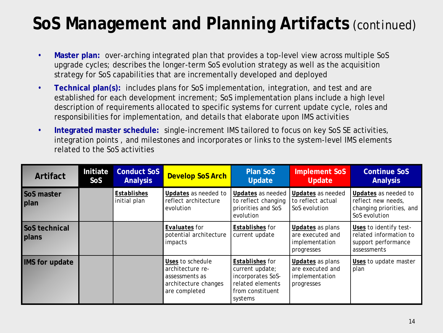### **SoS Management and Planning Artifacts** *(continued)*

- **Master plan:** over-arching integrated plan that provides a top-level view across multiple SoS upgrade cycles; describes the longer-term SoS evolution strategy as well as the acquisition strategy for SoS capabilities that are incrementally developed and deployed
- **Technical plan(s):** includes plans for SoS implementation, integration, and test and are established for each development increment; SoS implementation plans include a high level description of requirements allocated to specific systems for current update cycle, roles and responsibilities for implementation, and details that elaborate upon IMS activities
- **Integrated master schedule:** single-increment IMS tailored to focus on key SoS SE activities, integration points , and milestones and incorporates or links to the system-level IMS elements related to the SoS activities

| Artifact                             | Initiate<br>SoS | <b>Conduct SoS</b><br><b>Analysis</b> | <b>Develop SoS Arch</b>                                                                         | <b>Plan SoS</b><br><b>Update</b>                                                                           | <b>Implement SoS</b><br><b>Update</b>                                       | <b>Continue SoS</b><br><b>Analysis</b>                                                  |
|--------------------------------------|-----------------|---------------------------------------|-------------------------------------------------------------------------------------------------|------------------------------------------------------------------------------------------------------------|-----------------------------------------------------------------------------|-----------------------------------------------------------------------------------------|
| <b>SoS master</b><br><b>plan</b>     |                 | Establishes<br>initial plan           | Updates as needed to<br>reflect architecture<br>evolution                                       | Updates as needed<br>to reflect changing<br>priorities and SoS<br>evolution                                | Updates as needed<br>to reflect actual<br>SoS evolution                     | Updates as needed to<br>reflect new needs.<br>changing priorities, and<br>SoS evolution |
| <b>SoS technical</b><br><b>plans</b> |                 |                                       | Evaluates for<br>potential architecture<br>impacts                                              | Establishes for<br>current update                                                                          | Updates as plans<br>are executed and<br>implementation<br>progresses        | Uses to identify test-<br>related information to<br>support performance<br>assessments  |
| <b>IMS</b> for update                |                 |                                       | Uses to schedule<br>architecture re-<br>assessments as<br>architecture changes<br>are completed | Establishes for<br>current update;<br>incorporates SoS-<br>related elements<br>from constituent<br>systems | <b>Updates</b> as plans<br>are executed and<br>implementation<br>progresses | Uses to update master<br>plan                                                           |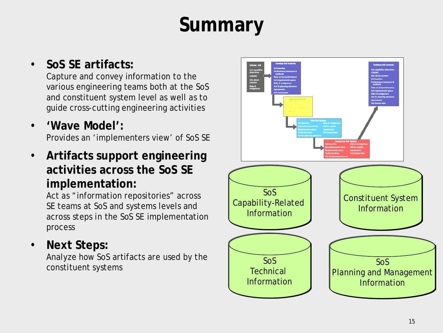# **Summary**

#### • **SoS SE artifacts:**

Capture and convey information to the various engineering teams both at the SoS and constituent system level as well as to guide cross-cutting engineering activities

- **'Wave Model':**  Provides an 'implementers view' of SoS SE
- **Artifacts support engineering activities across the SoS SE implementation:**

Act as "information repositories" across SE teams at SoS and systems levels and across steps in the SoS SE implementation process

• **Next Steps:** 

Analyze how SoS artifacts are used by the constituent systems